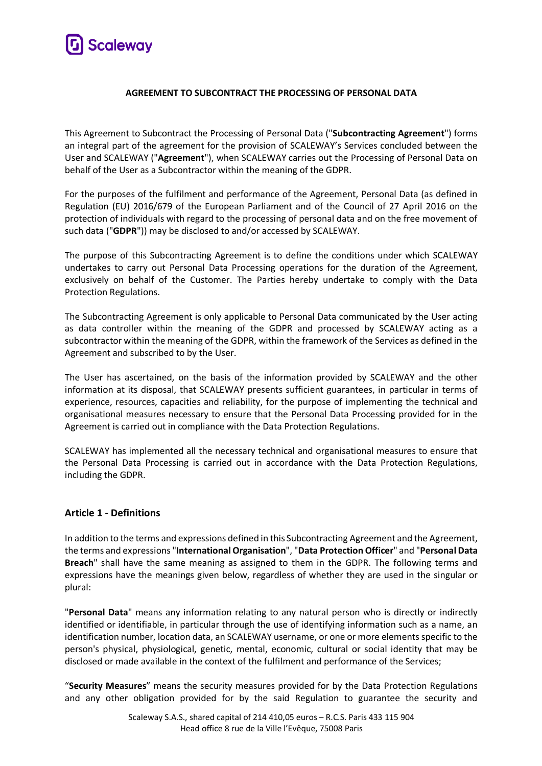

#### **AGREEMENT TO SUBCONTRACT THE PROCESSING OF PERSONAL DATA**

This Agreement to Subcontract the Processing of Personal Data ("**Subcontracting Agreement**") forms an integral part of the agreement for the provision of SCALEWAY's Services concluded between the User and SCALEWAY ("**Agreement**"), when SCALEWAY carries out the Processing of Personal Data on behalf of the User as a Subcontractor within the meaning of the GDPR.

For the purposes of the fulfilment and performance of the Agreement, Personal Data (as defined in Regulation (EU) 2016/679 of the European Parliament and of the Council of 27 April 2016 on the protection of individuals with regard to the processing of personal data and on the free movement of such data ("**GDPR**")) may be disclosed to and/or accessed by SCALEWAY.

The purpose of this Subcontracting Agreement is to define the conditions under which SCALEWAY undertakes to carry out Personal Data Processing operations for the duration of the Agreement, exclusively on behalf of the Customer. The Parties hereby undertake to comply with the Data Protection Regulations.

The Subcontracting Agreement is only applicable to Personal Data communicated by the User acting as data controller within the meaning of the GDPR and processed by SCALEWAY acting as a subcontractor within the meaning of the GDPR, within the framework of the Services as defined in the Agreement and subscribed to by the User.

The User has ascertained, on the basis of the information provided by SCALEWAY and the other information at its disposal, that SCALEWAY presents sufficient guarantees, in particular in terms of experience, resources, capacities and reliability, for the purpose of implementing the technical and organisational measures necessary to ensure that the Personal Data Processing provided for in the Agreement is carried out in compliance with the Data Protection Regulations.

SCALEWAY has implemented all the necessary technical and organisational measures to ensure that the Personal Data Processing is carried out in accordance with the Data Protection Regulations, including the GDPR.

# **Article 1 - Definitions**

In addition to the terms and expressions defined in this Subcontracting Agreement and the Agreement, the terms and expressions "**International Organisation**", "**Data Protection Officer**" and "**Personal Data Breach**" shall have the same meaning as assigned to them in the GDPR. The following terms and expressions have the meanings given below, regardless of whether they are used in the singular or plural:

"**Personal Data**" means any information relating to any natural person who is directly or indirectly identified or identifiable, in particular through the use of identifying information such as a name, an identification number, location data, an SCALEWAY username, or one or more elements specific to the person's physical, physiological, genetic, mental, economic, cultural or social identity that may be disclosed or made available in the context of the fulfilment and performance of the Services;

"**Security Measures**" means the security measures provided for by the Data Protection Regulations and any other obligation provided for by the said Regulation to guarantee the security and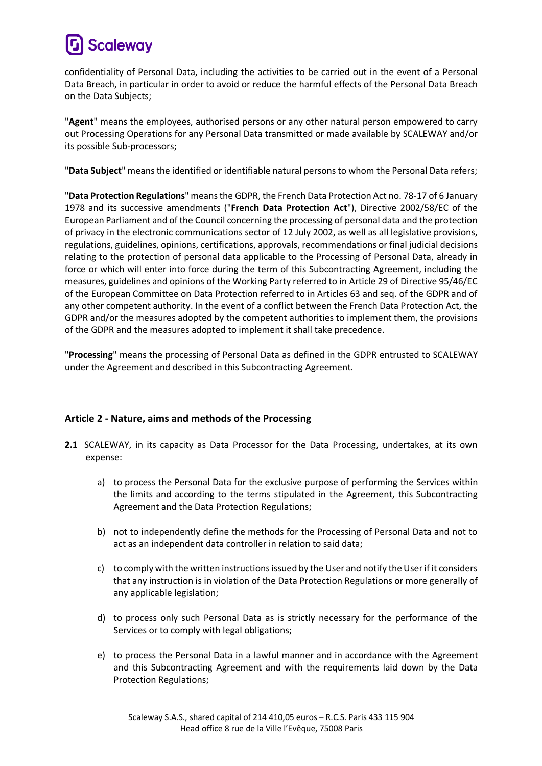# **Scaleway**

confidentiality of Personal Data, including the activities to be carried out in the event of a Personal Data Breach, in particular in order to avoid or reduce the harmful effects of the Personal Data Breach on the Data Subjects;

"**Agent**" means the employees, authorised persons or any other natural person empowered to carry out Processing Operations for any Personal Data transmitted or made available by SCALEWAY and/or its possible Sub-processors;

"**Data Subject**" means the identified or identifiable natural persons to whom the Personal Data refers;

"**Data Protection Regulations**" means the GDPR, the French Data Protection Act no. 78-17 of 6 January 1978 and its successive amendments ("**French Data Protection Act**"), Directive 2002/58/EC of the European Parliament and of the Council concerning the processing of personal data and the protection of privacy in the electronic communications sector of 12 July 2002, as well as all legislative provisions, regulations, guidelines, opinions, certifications, approvals, recommendations or final judicial decisions relating to the protection of personal data applicable to the Processing of Personal Data, already in force or which will enter into force during the term of this Subcontracting Agreement, including the measures, guidelines and opinions of the Working Party referred to in Article 29 of Directive 95/46/EC of the European Committee on Data Protection referred to in Articles 63 and seq. of the GDPR and of any other competent authority. In the event of a conflict between the French Data Protection Act, the GDPR and/or the measures adopted by the competent authorities to implement them, the provisions of the GDPR and the measures adopted to implement it shall take precedence.

"**Processing**" means the processing of Personal Data as defined in the GDPR entrusted to SCALEWAY under the Agreement and described in this Subcontracting Agreement.

# **Article 2 - Nature, aims and methods of the Processing**

- **2.1** SCALEWAY, in its capacity as Data Processor for the Data Processing, undertakes, at its own expense:
	- a) to process the Personal Data for the exclusive purpose of performing the Services within the limits and according to the terms stipulated in the Agreement, this Subcontracting Agreement and the Data Protection Regulations;
	- b) not to independently define the methods for the Processing of Personal Data and not to act as an independent data controller in relation to said data;
	- c) to comply with the written instructions issued by the User and notify the Userif it considers that any instruction is in violation of the Data Protection Regulations or more generally of any applicable legislation;
	- d) to process only such Personal Data as is strictly necessary for the performance of the Services or to comply with legal obligations;
	- e) to process the Personal Data in a lawful manner and in accordance with the Agreement and this Subcontracting Agreement and with the requirements laid down by the Data Protection Regulations;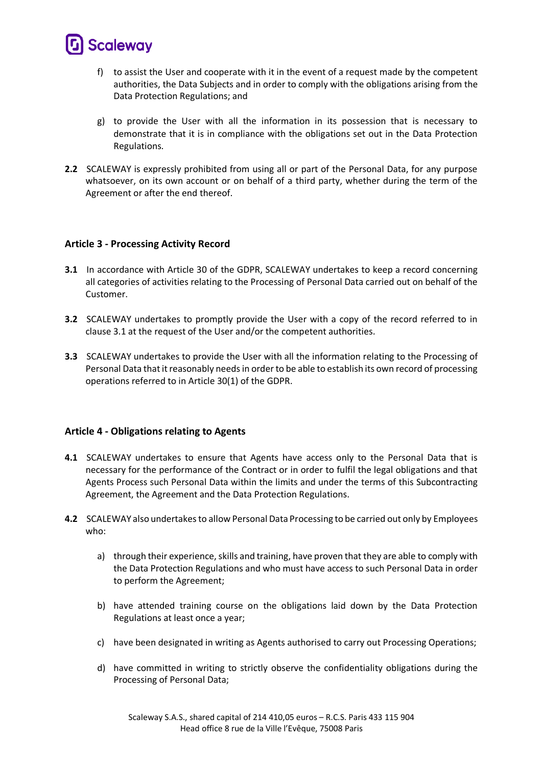

- f) to assist the User and cooperate with it in the event of a request made by the competent authorities, the Data Subjects and in order to comply with the obligations arising from the Data Protection Regulations; and
- g) to provide the User with all the information in its possession that is necessary to demonstrate that it is in compliance with the obligations set out in the Data Protection Regulations.
- **2.2** SCALEWAY is expressly prohibited from using all or part of the Personal Data, for any purpose whatsoever, on its own account or on behalf of a third party, whether during the term of the Agreement or after the end thereof.

#### **Article 3 - Processing Activity Record**

- **3.1** In accordance with Article 30 of the GDPR, SCALEWAY undertakes to keep a record concerning all categories of activities relating to the Processing of Personal Data carried out on behalf of the Customer.
- **3.2** SCALEWAY undertakes to promptly provide the User with a copy of the record referred to in clause 3.1 at the request of the User and/or the competent authorities.
- **3.3** SCALEWAY undertakes to provide the User with all the information relating to the Processing of Personal Data that it reasonably needs in order to be able to establish its own record of processing operations referred to in Article 30(1) of the GDPR.

#### **Article 4 - Obligations relating to Agents**

- **4.1** SCALEWAY undertakes to ensure that Agents have access only to the Personal Data that is necessary for the performance of the Contract or in order to fulfil the legal obligations and that Agents Process such Personal Data within the limits and under the terms of this Subcontracting Agreement, the Agreement and the Data Protection Regulations.
- **4.2** SCALEWAY also undertakes to allow Personal Data Processing to be carried out only by Employees who:
	- a) through their experience, skills and training, have proven that they are able to comply with the Data Protection Regulations and who must have access to such Personal Data in order to perform the Agreement;
	- b) have attended training course on the obligations laid down by the Data Protection Regulations at least once a year;
	- c) have been designated in writing as Agents authorised to carry out Processing Operations;
	- d) have committed in writing to strictly observe the confidentiality obligations during the Processing of Personal Data;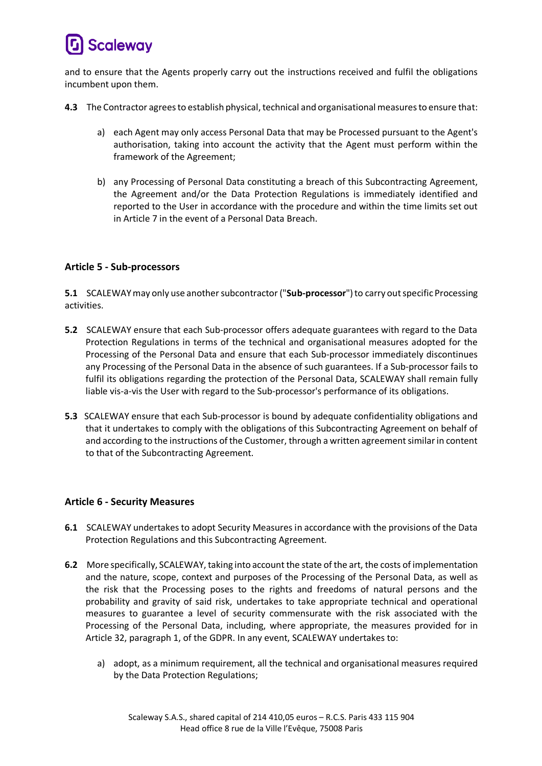# **Scaleway**

and to ensure that the Agents properly carry out the instructions received and fulfil the obligations incumbent upon them.

- **4.3** The Contractor agrees to establish physical, technical and organisational measures to ensure that:
	- a) each Agent may only access Personal Data that may be Processed pursuant to the Agent's authorisation, taking into account the activity that the Agent must perform within the framework of the Agreement;
	- b) any Processing of Personal Data constituting a breach of this Subcontracting Agreement, the Agreement and/or the Data Protection Regulations is immediately identified and reported to the User in accordance with the procedure and within the time limits set out in Article 7 in the event of a Personal Data Breach.

# **Article 5 - Sub-processors**

**5.1** SCALEWAYmay only use another subcontractor ("**Sub-processor**") to carry out specific Processing activities.

- **5.2** SCALEWAY ensure that each Sub-processor offers adequate guarantees with regard to the Data Protection Regulations in terms of the technical and organisational measures adopted for the Processing of the Personal Data and ensure that each Sub-processor immediately discontinues any Processing of the Personal Data in the absence of such guarantees. If a Sub-processor fails to fulfil its obligations regarding the protection of the Personal Data, SCALEWAY shall remain fully liable vis-a-vis the User with regard to the Sub-processor's performance of its obligations.
- **5.3** SCALEWAY ensure that each Sub-processor is bound by adequate confidentiality obligations and that it undertakes to comply with the obligations of this Subcontracting Agreement on behalf of and according to the instructions of the Customer, through a written agreement similar in content to that of the Subcontracting Agreement.

# **Article 6 - Security Measures**

- **6.1** SCALEWAY undertakes to adopt Security Measures in accordance with the provisions of the Data Protection Regulations and this Subcontracting Agreement.
- **6.2** More specifically, SCALEWAY, taking into account the state of the art, the costs of implementation and the nature, scope, context and purposes of the Processing of the Personal Data, as well as the risk that the Processing poses to the rights and freedoms of natural persons and the probability and gravity of said risk, undertakes to take appropriate technical and operational measures to guarantee a level of security commensurate with the risk associated with the Processing of the Personal Data, including, where appropriate, the measures provided for in Article 32, paragraph 1, of the GDPR. In any event, SCALEWAY undertakes to:
	- a) adopt, as a minimum requirement, all the technical and organisational measures required by the Data Protection Regulations;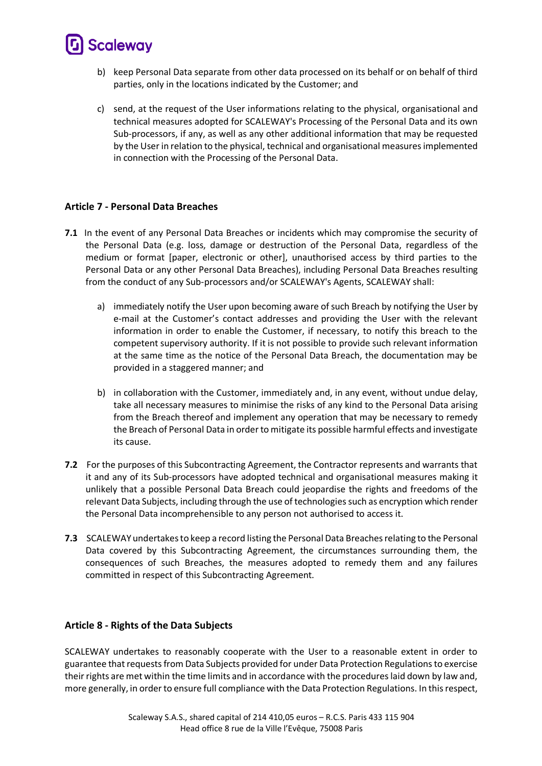# **Scaleway**

- b) keep Personal Data separate from other data processed on its behalf or on behalf of third parties, only in the locations indicated by the Customer; and
- c) send, at the request of the User informations relating to the physical, organisational and technical measures adopted for SCALEWAY's Processing of the Personal Data and its own Sub-processors, if any, as well as any other additional information that may be requested by the User in relation to the physical, technical and organisational measures implemented in connection with the Processing of the Personal Data.

# **Article 7 - Personal Data Breaches**

- **7.1** In the event of any Personal Data Breaches or incidents which may compromise the security of the Personal Data (e.g. loss, damage or destruction of the Personal Data, regardless of the medium or format [paper, electronic or other], unauthorised access by third parties to the Personal Data or any other Personal Data Breaches), including Personal Data Breaches resulting from the conduct of any Sub-processors and/or SCALEWAY's Agents, SCALEWAY shall:
	- a) immediately notify the User upon becoming aware of such Breach by notifying the User by e-mail at the Customer's contact addresses and providing the User with the relevant information in order to enable the Customer, if necessary, to notify this breach to the competent supervisory authority. If it is not possible to provide such relevant information at the same time as the notice of the Personal Data Breach, the documentation may be provided in a staggered manner; and
	- b) in collaboration with the Customer, immediately and, in any event, without undue delay, take all necessary measures to minimise the risks of any kind to the Personal Data arising from the Breach thereof and implement any operation that may be necessary to remedy the Breach of Personal Data in order to mitigate its possible harmful effects and investigate its cause.
- **7.2** For the purposes of this Subcontracting Agreement, the Contractor represents and warrants that it and any of its Sub-processors have adopted technical and organisational measures making it unlikely that a possible Personal Data Breach could jeopardise the rights and freedoms of the relevant Data Subjects, including through the use of technologies such as encryption which render the Personal Data incomprehensible to any person not authorised to access it.
- **7.3** SCALEWAY undertakes to keep a record listing the Personal Data Breaches relating to the Personal Data covered by this Subcontracting Agreement, the circumstances surrounding them, the consequences of such Breaches, the measures adopted to remedy them and any failures committed in respect of this Subcontracting Agreement.

# **Article 8 - Rights of the Data Subjects**

SCALEWAY undertakes to reasonably cooperate with the User to a reasonable extent in order to guarantee that requests from Data Subjects provided for under Data Protection Regulations to exercise their rights are met within the time limits and in accordance with the procedures laid down by law and, more generally, in order to ensure full compliance with the Data Protection Regulations. In this respect,